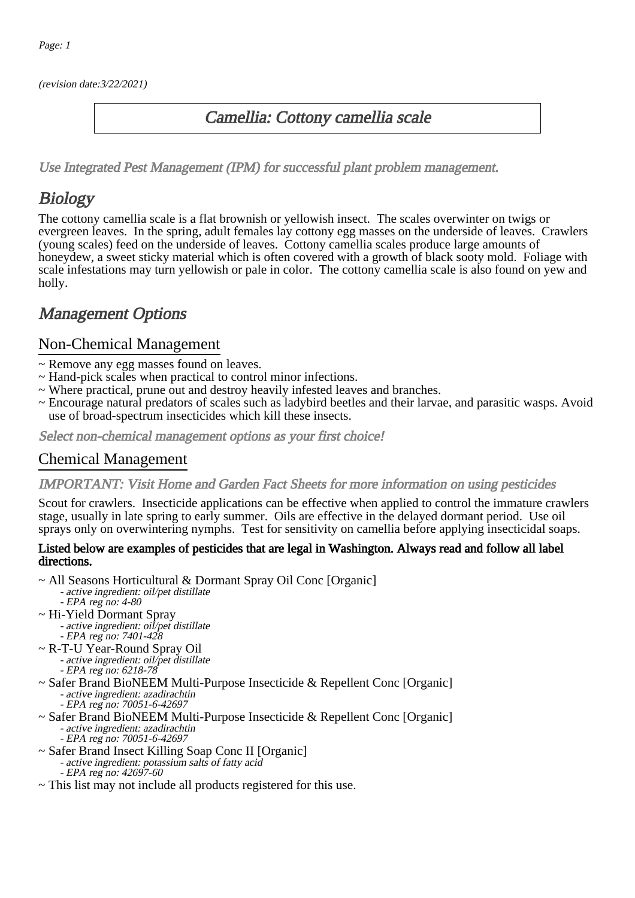(revision date:3/22/2021)

## Camellia: Cottony camellia scale

[Use Integrated Pest Management \(IPM\) for successful plant problem management.](http://pep.wsu.edu/Home_Garden/H_G_Pesticide_info/urban_Integrated_Pest_Managmen/)

## **Biology**

The cottony camellia scale is a flat brownish or yellowish insect. The scales overwinter on twigs or evergreen leaves. In the spring, adult females lay cottony egg masses on the underside of leaves. Crawlers (young scales) feed on the underside of leaves. Cottony camellia scales produce large amounts of honeydew, a sweet sticky material which is often covered with a growth of black sooty mold. Foliage with scale infestations may turn yellowish or pale in color. The cottony camellia scale is also found on yew and holly.

## Management Options

### Non-Chemical Management

- ~ Remove any egg masses found on leaves.
- ~ Hand-pick scales when practical to control minor infections.
- ~ Where practical, prune out and destroy heavily infested leaves and branches.
- ~ Encourage natural predators of scales such as ladybird beetles and their larvae, and parasitic wasps. Avoid use of broad-spectrum insecticides which kill these insects.

Select non-chemical management options as your first choice!

#### Chemical Management

#### IMPORTANT: [Visit Home and Garden Fact Sheets for more information on using pesticides](http://pep.wsu.edu/Home_Garden/H_G_Pesticide_info/)

Scout for crawlers. Insecticide applications can be effective when applied to control the immature crawlers stage, usually in late spring to early summer. Oils are effective in the delayed dormant period. Use oil sprays only on overwintering nymphs. Test for sensitivity on camellia before applying insecticidal soaps.

#### Listed below are examples of pesticides that are legal in Washington. Always read and follow all label directions.

- ~ All Seasons Horticultural & Dormant Spray Oil Conc [Organic] - active ingredient: oil/pet distillate
	- EPA reg no: 4-80
- ~ Hi-Yield Dormant Spray
	- active ingredient: oil/pet distillate - EPA reg no: 7401-428
- ~ R-T-U Year-Round Spray Oil
	- active ingredient: oil/pet distillate - EPA reg no: 6218-78
- ~ Safer Brand BioNEEM Multi-Purpose Insecticide & Repellent Conc [Organic] - active ingredient: azadirachtin
	- EPA reg no: 70051-6-42697
- ~ Safer Brand BioNEEM Multi-Purpose Insecticide & Repellent Conc [Organic] - active ingredient: azadirachtin
	- EPA reg no: 70051-6-42697
- ~ Safer Brand Insect Killing Soap Conc II [Organic]
	- active ingredient: potassium salts of fatty acid - EPA reg no: 42697-60
- ~ This list may not include all products registered for this use.